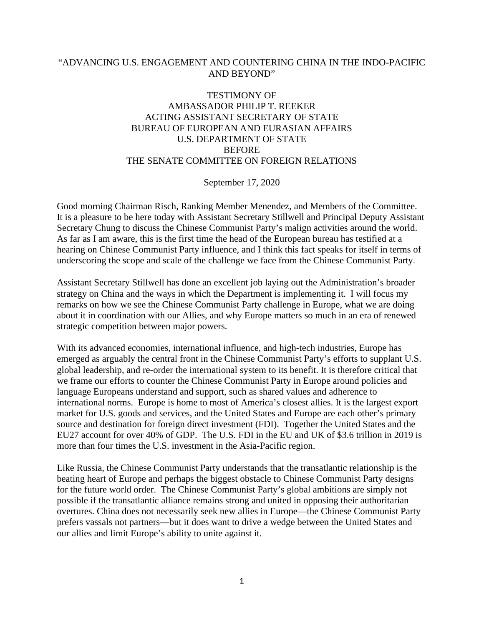## "ADVANCING U.S. ENGAGEMENT AND COUNTERING CHINA IN THE INDO-PACIFIC AND BEYOND"

## TESTIMONY OF AMBASSADOR PHILIP T. REEKER ACTING ASSISTANT SECRETARY OF STATE BUREAU OF EUROPEAN AND EURASIAN AFFAIRS U.S. DEPARTMENT OF STATE BEFORE THE SENATE COMMITTEE ON FOREIGN RELATIONS

## September 17, 2020

Good morning Chairman Risch, Ranking Member Menendez, and Members of the Committee. It is a pleasure to be here today with Assistant Secretary Stillwell and Principal Deputy Assistant Secretary Chung to discuss the Chinese Communist Party's malign activities around the world. As far as I am aware, this is the first time the head of the European bureau has testified at a hearing on Chinese Communist Party influence, and I think this fact speaks for itself in terms of underscoring the scope and scale of the challenge we face from the Chinese Communist Party.

Assistant Secretary Stillwell has done an excellent job laying out the Administration's broader strategy on China and the ways in which the Department is implementing it. I will focus my remarks on how we see the Chinese Communist Party challenge in Europe, what we are doing about it in coordination with our Allies, and why Europe matters so much in an era of renewed strategic competition between major powers.

With its advanced economies, international influence, and high-tech industries, Europe has emerged as arguably the central front in the Chinese Communist Party's efforts to supplant U.S. global leadership, and re-order the international system to its benefit. It is therefore critical that we frame our efforts to counter the Chinese Communist Party in Europe around policies and language Europeans understand and support, such as shared values and adherence to international norms. Europe is home to most of America's closest allies. It is the largest export market for U.S. goods and services, and the United States and Europe are each other's primary source and destination for foreign direct investment (FDI). Together the United States and the EU27 account for over 40% of GDP. The U.S. FDI in the EU and UK of \$3.6 trillion in 2019 is more than four times the U.S. investment in the Asia-Pacific region.

Like Russia, the Chinese Communist Party understands that the transatlantic relationship is the beating heart of Europe and perhaps the biggest obstacle to Chinese Communist Party designs for the future world order. The Chinese Communist Party's global ambitions are simply not possible if the transatlantic alliance remains strong and united in opposing their authoritarian overtures. China does not necessarily seek new allies in Europe—the Chinese Communist Party prefers vassals not partners—but it does want to drive a wedge between the United States and our allies and limit Europe's ability to unite against it.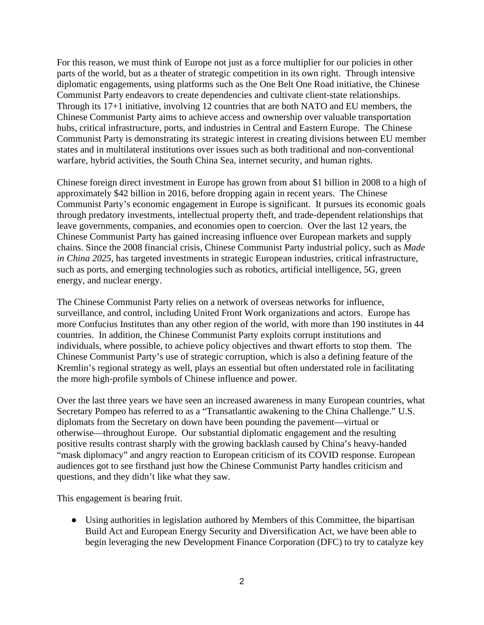For this reason, we must think of Europe not just as a force multiplier for our policies in other parts of the world, but as a theater of strategic competition in its own right. Through intensive diplomatic engagements, using platforms such as the One Belt One Road initiative, the Chinese Communist Party endeavors to create dependencies and cultivate client-state relationships. Through its 17+1 initiative, involving 12 countries that are both NATO and EU members, the Chinese Communist Party aims to achieve access and ownership over valuable transportation hubs, critical infrastructure, ports, and industries in Central and Eastern Europe. The Chinese Communist Party is demonstrating its strategic interest in creating divisions between EU member states and in multilateral institutions over issues such as both traditional and non-conventional warfare, hybrid activities, the South China Sea, internet security, and human rights.

Chinese foreign direct investment in Europe has grown from about \$1 billion in 2008 to a high of approximately \$42 billion in 2016, before dropping again in recent years. The Chinese Communist Party's economic engagement in Europe is significant. It pursues its economic goals through predatory investments, intellectual property theft, and trade-dependent relationships that leave governments, companies, and economies open to coercion. Over the last 12 years, the Chinese Communist Party has gained increasing influence over European markets and supply chains. Since the 2008 financial crisis, Chinese Communist Party industrial policy, such as *Made in China 2025*, has targeted investments in strategic European industries, critical infrastructure, such as ports, and emerging technologies such as robotics, artificial intelligence, 5G, green energy, and nuclear energy.

The Chinese Communist Party relies on a network of overseas networks for influence, surveillance, and control, including United Front Work organizations and actors. Europe has more Confucius Institutes than any other region of the world, with more than 190 institutes in 44 countries. In addition, the Chinese Communist Party exploits corrupt institutions and individuals, where possible, to achieve policy objectives and thwart efforts to stop them. The Chinese Communist Party's use of strategic corruption, which is also a defining feature of the Kremlin's regional strategy as well, plays an essential but often understated role in facilitating the more high-profile symbols of Chinese influence and power.

Over the last three years we have seen an increased awareness in many European countries, what Secretary Pompeo has referred to as a "Transatlantic awakening to the China Challenge." U.S. diplomats from the Secretary on down have been pounding the pavement—virtual or otherwise—throughout Europe. Our substantial diplomatic engagement and the resulting positive results contrast sharply with the growing backlash caused by China's heavy-handed "mask diplomacy" and angry reaction to European criticism of its COVID response. European audiences got to see firsthand just how the Chinese Communist Party handles criticism and questions, and they didn't like what they saw.

This engagement is bearing fruit.

• Using authorities in legislation authored by Members of this Committee, the bipartisan Build Act and European Energy Security and Diversification Act, we have been able to begin leveraging the new Development Finance Corporation (DFC) to try to catalyze key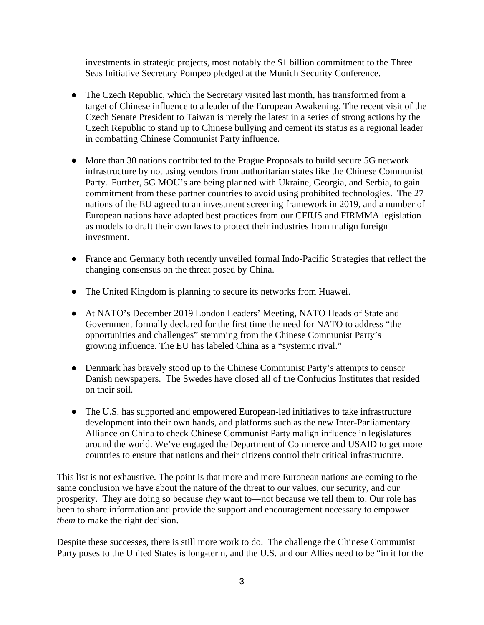investments in strategic projects, most notably the \$1 billion commitment to the Three Seas Initiative Secretary Pompeo pledged at the Munich Security Conference.

- The Czech Republic, which the Secretary visited last month, has transformed from a target of Chinese influence to a leader of the European Awakening. The recent visit of the Czech Senate President to Taiwan is merely the latest in a series of strong actions by the Czech Republic to stand up to Chinese bullying and cement its status as a regional leader in combatting Chinese Communist Party influence.
- More than 30 nations contributed to the Prague Proposals to build secure 5G network infrastructure by not using vendors from authoritarian states like the Chinese Communist Party. Further, 5G MOU's are being planned with Ukraine, Georgia, and Serbia, to gain commitment from these partner countries to avoid using prohibited technologies. The 27 nations of the EU agreed to an investment screening framework in 2019, and a number of European nations have adapted best practices from our CFIUS and FIRMMA legislation as models to draft their own laws to protect their industries from malign foreign investment.
- France and Germany both recently unveiled formal Indo-Pacific Strategies that reflect the changing consensus on the threat posed by China.
- The United Kingdom is planning to secure its networks from Huawei.
- At NATO's December 2019 London Leaders' Meeting, NATO Heads of State and Government formally declared for the first time the need for NATO to address "the opportunities and challenges" stemming from the Chinese Communist Party's growing influence. The EU has labeled China as a "systemic rival."
- Denmark has bravely stood up to the Chinese Communist Party's attempts to censor Danish newspapers. The Swedes have closed all of the Confucius Institutes that resided on their soil.
- The U.S. has supported and empowered European-led initiatives to take infrastructure development into their own hands, and platforms such as the new Inter-Parliamentary Alliance on China to check Chinese Communist Party malign influence in legislatures around the world. We've engaged the Department of Commerce and USAID to get more countries to ensure that nations and their citizens control their critical infrastructure.

This list is not exhaustive. The point is that more and more European nations are coming to the same conclusion we have about the nature of the threat to our values, our security, and our prosperity. They are doing so because *they* want to—not because we tell them to. Our role has been to share information and provide the support and encouragement necessary to empower *them* to make the right decision.

Despite these successes, there is still more work to do. The challenge the Chinese Communist Party poses to the United States is long-term, and the U.S. and our Allies need to be "in it for the